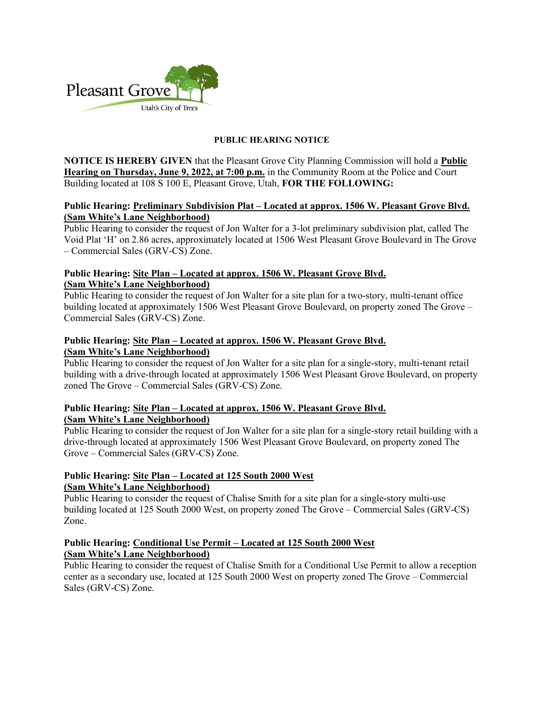

### PUBLIC HEARING NOTICE

NOTICE IS HEREBY GIVEN that the Pleasant Grove City Planning Commission will hold a Public Hearing on Thursday, June 9, 2022, at 7:00 p.m. in the Community Room at the Police and Court Building located at 108 S 100 E, Pleasant Grove, Utah, FOR THE FOLLOWING:

## Public Hearing: Preliminary Subdivision Plat – Located at approx. 1506 W. Pleasant Grove Blvd. (Sam White's Lane Neighborhood)

Public Hearing to consider the request of Jon Walter for a 3-lot preliminary subdivision plat, called The Void Plat 'H' on 2.86 acres, approximately located at 1506 West Pleasant Grove Boulevard in The Grove – Commercial Sales (GRV-CS) Zone.

## Public Hearing: Site Plan – Located at approx. 1506 W. Pleasant Grove Blvd. (Sam White's Lane Neighborhood)

Public Hearing to consider the request of Jon Walter for a site plan for a two-story, multi-tenant office building located at approximately 1506 West Pleasant Grove Boulevard, on property zoned The Grove – Commercial Sales (GRV-CS) Zone.

# Public Hearing: Site Plan – Located at approx. 1506 W. Pleasant Grove Blvd. (Sam White's Lane Neighborhood)

Public Hearing to consider the request of Jon Walter for a site plan for a single-story, multi-tenant retail building with a drive-through located at approximately 1506 West Pleasant Grove Boulevard, on property zoned The Grove – Commercial Sales (GRV-CS) Zone.

#### Public Hearing: Site Plan – Located at approx. 1506 W. Pleasant Grove Blvd. (Sam White's Lane Neighborhood)

Public Hearing to consider the request of Jon Walter for a site plan for a single-story retail building with a drive-through located at approximately 1506 West Pleasant Grove Boulevard, on property zoned The Grove – Commercial Sales (GRV-CS) Zone.

## Public Hearing: Site Plan – Located at 125 South 2000 West (Sam White's Lane Neighborhood)

Public Hearing to consider the request of Chalise Smith for a site plan for a single-story multi-use building located at 125 South 2000 West, on property zoned The Grove – Commercial Sales (GRV-CS) Zone.

## Public Hearing: Conditional Use Permit – Located at 125 South 2000 West (Sam White's Lane Neighborhood)

Public Hearing to consider the request of Chalise Smith for a Conditional Use Permit to allow a reception center as a secondary use, located at 125 South 2000 West on property zoned The Grove – Commercial Sales (GRV-CS) Zone.